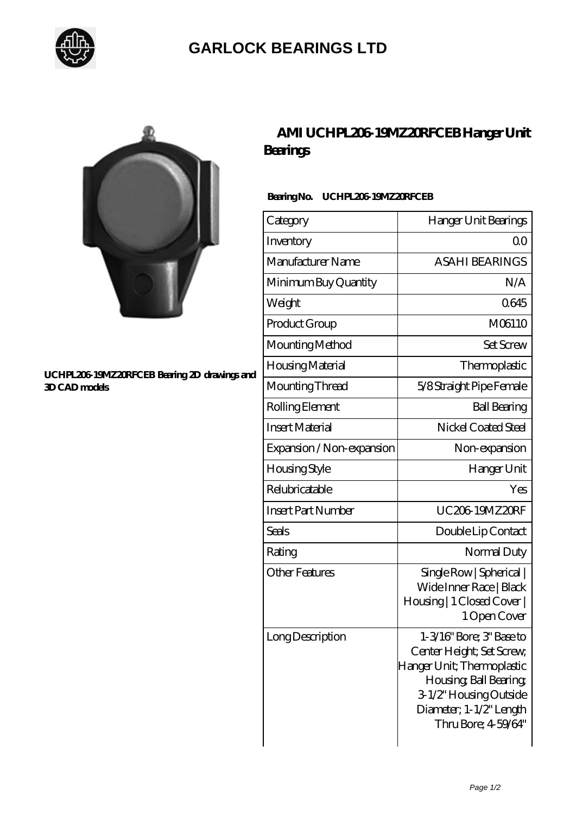

## **[GARLOCK BEARINGS LTD](https://m.letterstopriests.com)**



#### **[UCHPL206-19MZ20RFCEB Bearing 2D drawings and](https://m.letterstopriests.com/pic-189111.html) [3D CAD models](https://m.letterstopriests.com/pic-189111.html)**

## **[AMI UCHPL206-19MZ20RFCEB Hanger Unit](https://m.letterstopriests.com/aI-189111-ami-uchpl206-19mz20rfceb-hanger-unit-bearings.html) [Bearings](https://m.letterstopriests.com/aI-189111-ami-uchpl206-19mz20rfceb-hanger-unit-bearings.html)**

### Bearing No. UCHPL206-19MZ20RFCEB

| Category                  | Hanger Unit Bearings                                                                                                                                                                     |
|---------------------------|------------------------------------------------------------------------------------------------------------------------------------------------------------------------------------------|
| Inventory                 | Q0                                                                                                                                                                                       |
| Manufacturer Name         | <b>ASAHI BEARINGS</b>                                                                                                                                                                    |
| Minimum Buy Quantity      | N/A                                                                                                                                                                                      |
| Weight                    | 0645                                                                                                                                                                                     |
| Product Group             | M06110                                                                                                                                                                                   |
| Mounting Method           | <b>Set Screw</b>                                                                                                                                                                         |
| Housing Material          | Thermoplastic                                                                                                                                                                            |
| Mounting Thread           | 5/8 Straight Pipe Female                                                                                                                                                                 |
| Rolling Element           | <b>Ball Bearing</b>                                                                                                                                                                      |
| <b>Insert Material</b>    | Nickel Coated Steel                                                                                                                                                                      |
| Expansion / Non-expansion | Non-expansion                                                                                                                                                                            |
| Housing Style             | Hanger Unit                                                                                                                                                                              |
| Relubricatable            | Yes                                                                                                                                                                                      |
| <b>Insert Part Number</b> | <b>UC206 19MZ20RF</b>                                                                                                                                                                    |
| <b>Seals</b>              | Double Lip Contact                                                                                                                                                                       |
| Rating                    | Normal Duty                                                                                                                                                                              |
| <b>Other Features</b>     | Single Row   Spherical  <br>Wide Inner Race   Black<br>Housing   1 Closed Cover  <br>1 Open Cover                                                                                        |
| Long Description          | 1-3/16" Bore; 3" Base to<br>Center Height; Set Screw,<br>Hanger Unit; Thermoplastic<br>Housing, Ball Bearing,<br>3-1/2" Housing Outside<br>Diameter; 1-1/2" Length<br>Thru Bore; 459/64" |